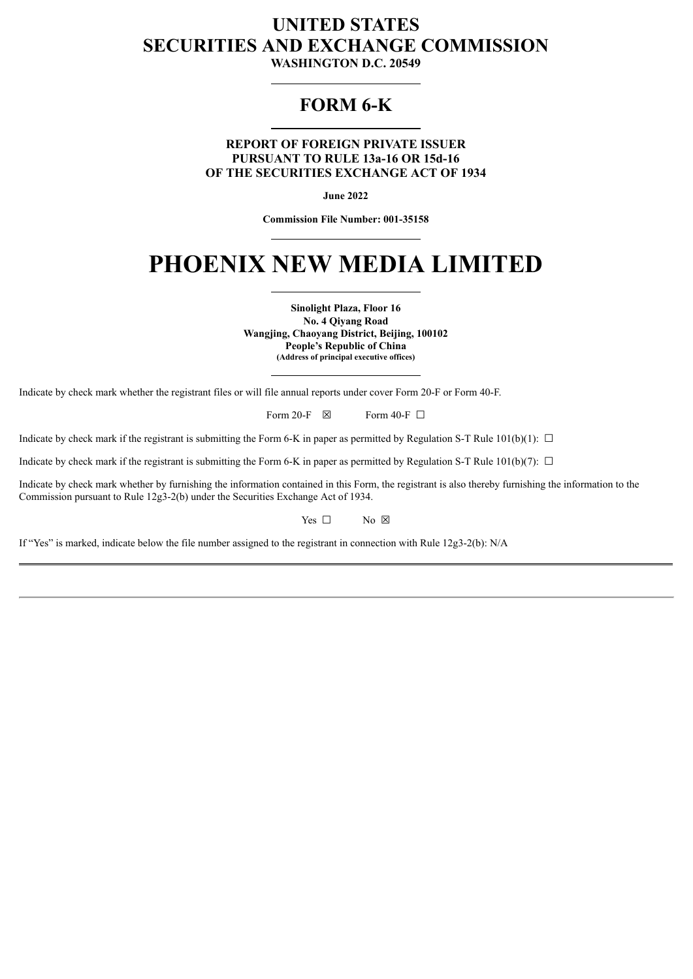## **UNITED STATES SECURITIES AND EXCHANGE COMMISSION**

**WASHINGTON D.C. 20549**

### **FORM 6-K**

**REPORT OF FOREIGN PRIVATE ISSUER PURSUANT TO RULE 13a-16 OR 15d-16 OF THE SECURITIES EXCHANGE ACT OF 1934**

**June 2022**

**Commission File Number: 001-35158**

# **PHOENIX NEW MEDIA LIMITED**

**Sinolight Plaza, Floor 16 No. 4 Qiyang Road Wangjing, Chaoyang District, Beijing, 100102 People's Republic of China (Address of principal executive offices)**

Indicate by check mark whether the registrant files or will file annual reports under cover Form 20-F or Form 40-F.

Form 20-F  $\boxtimes$  Form 40-F  $\Box$ 

Indicate by check mark if the registrant is submitting the Form 6-K in paper as permitted by Regulation S-T Rule  $101(b)(1)$ :  $\Box$ 

Indicate by check mark if the registrant is submitting the Form 6-K in paper as permitted by Regulation S-T Rule 101(b)(7):  $\Box$ 

Indicate by check mark whether by furnishing the information contained in this Form, the registrant is also thereby furnishing the information to the Commission pursuant to Rule 12g3-2(b) under the Securities Exchange Act of 1934.

Yes  $\Box$  No  $\boxtimes$ 

If "Yes" is marked, indicate below the file number assigned to the registrant in connection with Rule 12g3-2(b): N/A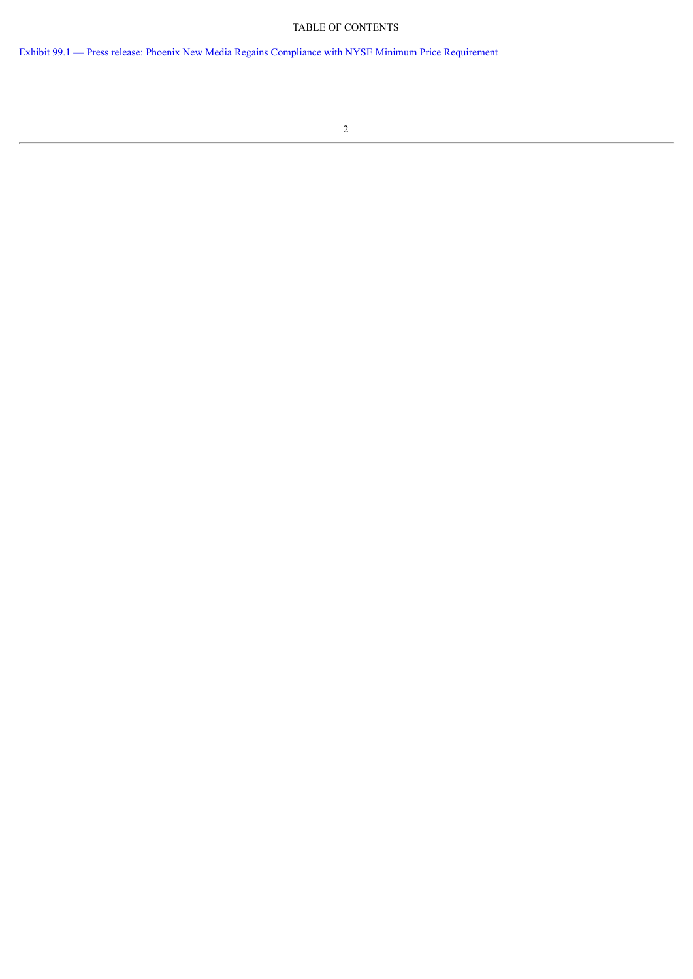#### TABLE OF CONTENTS

Exhibit 99.1 — Press release: Phoenix New Media Regains Compliance with NYSE Minimum Price [Requirement](#page-3-0)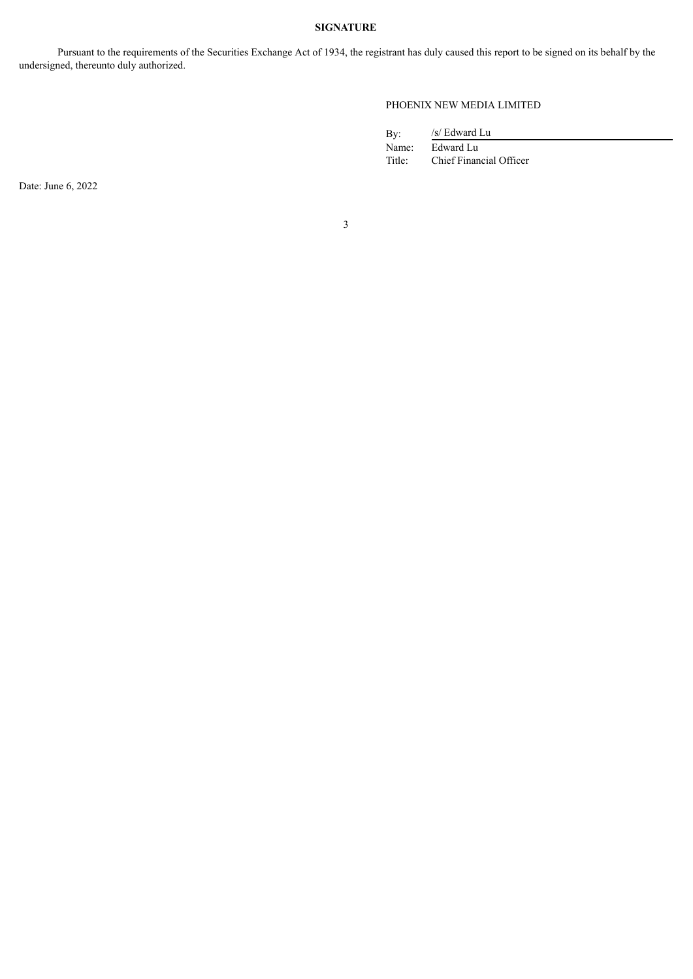#### **SIGNATURE**

Pursuant to the requirements of the Securities Exchange Act of 1934, the registrant has duly caused this report to be signed on its behalf by the undersigned, thereunto duly authorized.

#### PHOENIX NEW MEDIA LIMITED

/s/ Edward Lu

By:<br>Name: Edward Lu Title: Chief Financial Officer

Date: June 6, 2022

3